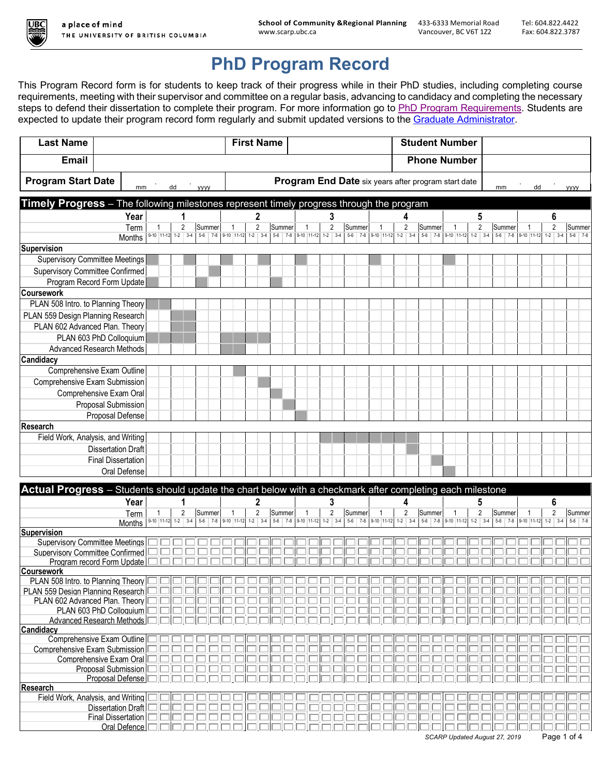

# **PhD Program Record**

This Program Record form is for students to keep track of their progress while in their PhD studies, including completing course requirements, meeting with their supervisor and committee on a regular basis, advancing to candidacy and completing the necessary steps to defend their dissertation to complete their program. For more information go to PhD Program Requirements. Students are expected to update their program record form regularly and submit updated versions to the Graduate Administrator.

| <b>Email</b><br><b>Phone Number</b><br><b>Program Start Date</b><br>Program End Date six years after program start date<br>dd<br>dd<br>mm<br>mm<br><b>VVVV</b><br><b>VYYY</b><br>Timely Progress - The following milestones represent timely progress through the program<br>Year<br>$\mathbf{2}$<br>5<br>3<br>6<br>1<br>4<br>$\overline{2}$<br>$\overline{2}$<br>$\overline{2}$<br>$\overline{2}$<br>2<br>Summer<br>Summer<br>Summer<br>$\overline{2}$<br>Summer<br>Summer<br>Summer<br>$\mathbf{1}$<br>$\mathbf{1}$<br>Term<br>-1<br>$\mathbf{1}$<br>-1<br>9-10 11-12 1-2 3-4 5-6 7-8 9-10 11-12 1-2 3-4<br>5-6 7-8 9-10 11-12 1-2 3-4 5-6 7-8 9-10 11-12 1-2 3-4 5-6 7-8 9-10 11-12 1-2 3-4<br>5-6 7-8 9-10 11-12 1-2 3-4<br>$5-6$ 7-8<br>Months<br><b>Supervision</b><br><b>Supervisory Committee Meetings</b><br>Supervisory Committee Confirmed<br>Program Record Form Update<br><b>Coursework</b><br>PLAN 508 Intro. to Planning Theory<br>PLAN 559 Design Planning Research<br>PLAN 602 Advanced Plan. Theory<br>PLAN 603 PhD Colloquium<br><b>Advanced Research Methods</b><br>Candidacy<br>Comprehensive Exam Outline<br>Comprehensive Exam Submission<br>Comprehensive Exam Oral<br>Proposal Submission<br>Proposal Defense<br><b>Research</b><br>Field Work, Analysis, and Writing<br><b>Dissertation Draft</b><br><b>Final Dissertation</b><br>Oral Defense<br>Actual Progress - Students should update the chart below with a checkmark after completing each milestone<br>Year<br>2<br>3<br>5<br>6<br>1<br>4<br>$\overline{2}$<br>$\overline{2}$<br>$\overline{2}$<br>2<br>Summer<br>$\overline{2}$<br>$\overline{2}$<br>$\mathbf{1}$<br>Summer<br>Summer<br>Summer<br>$\overline{1}$<br>Summer<br>Term<br>1<br>$\mathbf{1}$<br>$\overline{1}$<br>5-6 7-8 9-10 11-12 1-2 3-4 5-6 7-8 9-10 11-12 1-2 3-4 5-6 7-8 9-10 11-12<br>5-6 7-8 9-10 11-12 1-2 3-4<br>$5-6$ 7-8<br>$1-2$ 3-4<br>Months<br>Supervision<br><b>Supervisory Committee Meetings</b><br><b>Supervisory Committee Confirmed</b><br>Program record Form Update<br><b>Coursework</b><br>PLAN 508 Intro. to Planning Theory<br>PLAN 559 Design Planning Research<br>PLAN 602 Advanced Plan. Theory<br>PLAN 603 PhD Colloquium<br><b>Advanced Research Methods</b><br>Candidacy<br>Comprehensive Exam Outline<br>Comprehensive Exam Submission<br>Comprehensive Exam Oral<br>Proposal Submission<br>Proposal Defense<br><b>Research</b><br>Field Work, Analysis, and Writing<br><b>Dissertation Draft</b><br><b>Final Dissertation</b><br>Oral Defence<br>Page 1 of 4<br>SCARP Updated August 27, 2019 | <b>Last Name</b> |  |  |  | <b>First Name</b> |  |  |  |  |  | <b>Student Number</b> |  |  |  |  |  |  |  |  |  |  |  |  |
|----------------------------------------------------------------------------------------------------------------------------------------------------------------------------------------------------------------------------------------------------------------------------------------------------------------------------------------------------------------------------------------------------------------------------------------------------------------------------------------------------------------------------------------------------------------------------------------------------------------------------------------------------------------------------------------------------------------------------------------------------------------------------------------------------------------------------------------------------------------------------------------------------------------------------------------------------------------------------------------------------------------------------------------------------------------------------------------------------------------------------------------------------------------------------------------------------------------------------------------------------------------------------------------------------------------------------------------------------------------------------------------------------------------------------------------------------------------------------------------------------------------------------------------------------------------------------------------------------------------------------------------------------------------------------------------------------------------------------------------------------------------------------------------------------------------------------------------------------------------------------------------------------------------------------------------------------------------------------------------------------------------------------------------------------------------------------------------------------------------------------------------------------------------------------------------------------------------------------------------------------------------------------------------------------------------------------------------------------------------------------------------------------------------------------------------------------------------------------------------------------------------------------------------------------------------------------------|------------------|--|--|--|-------------------|--|--|--|--|--|-----------------------|--|--|--|--|--|--|--|--|--|--|--|--|
|                                                                                                                                                                                                                                                                                                                                                                                                                                                                                                                                                                                                                                                                                                                                                                                                                                                                                                                                                                                                                                                                                                                                                                                                                                                                                                                                                                                                                                                                                                                                                                                                                                                                                                                                                                                                                                                                                                                                                                                                                                                                                                                                                                                                                                                                                                                                                                                                                                                                                                                                                                                  |                  |  |  |  |                   |  |  |  |  |  |                       |  |  |  |  |  |  |  |  |  |  |  |  |
|                                                                                                                                                                                                                                                                                                                                                                                                                                                                                                                                                                                                                                                                                                                                                                                                                                                                                                                                                                                                                                                                                                                                                                                                                                                                                                                                                                                                                                                                                                                                                                                                                                                                                                                                                                                                                                                                                                                                                                                                                                                                                                                                                                                                                                                                                                                                                                                                                                                                                                                                                                                  |                  |  |  |  |                   |  |  |  |  |  |                       |  |  |  |  |  |  |  |  |  |  |  |  |
|                                                                                                                                                                                                                                                                                                                                                                                                                                                                                                                                                                                                                                                                                                                                                                                                                                                                                                                                                                                                                                                                                                                                                                                                                                                                                                                                                                                                                                                                                                                                                                                                                                                                                                                                                                                                                                                                                                                                                                                                                                                                                                                                                                                                                                                                                                                                                                                                                                                                                                                                                                                  |                  |  |  |  |                   |  |  |  |  |  |                       |  |  |  |  |  |  |  |  |  |  |  |  |
|                                                                                                                                                                                                                                                                                                                                                                                                                                                                                                                                                                                                                                                                                                                                                                                                                                                                                                                                                                                                                                                                                                                                                                                                                                                                                                                                                                                                                                                                                                                                                                                                                                                                                                                                                                                                                                                                                                                                                                                                                                                                                                                                                                                                                                                                                                                                                                                                                                                                                                                                                                                  |                  |  |  |  |                   |  |  |  |  |  |                       |  |  |  |  |  |  |  |  |  |  |  |  |
|                                                                                                                                                                                                                                                                                                                                                                                                                                                                                                                                                                                                                                                                                                                                                                                                                                                                                                                                                                                                                                                                                                                                                                                                                                                                                                                                                                                                                                                                                                                                                                                                                                                                                                                                                                                                                                                                                                                                                                                                                                                                                                                                                                                                                                                                                                                                                                                                                                                                                                                                                                                  |                  |  |  |  |                   |  |  |  |  |  |                       |  |  |  |  |  |  |  |  |  |  |  |  |
| Summer                                                                                                                                                                                                                                                                                                                                                                                                                                                                                                                                                                                                                                                                                                                                                                                                                                                                                                                                                                                                                                                                                                                                                                                                                                                                                                                                                                                                                                                                                                                                                                                                                                                                                                                                                                                                                                                                                                                                                                                                                                                                                                                                                                                                                                                                                                                                                                                                                                                                                                                                                                           |                  |  |  |  |                   |  |  |  |  |  |                       |  |  |  |  |  |  |  |  |  |  |  |  |
|                                                                                                                                                                                                                                                                                                                                                                                                                                                                                                                                                                                                                                                                                                                                                                                                                                                                                                                                                                                                                                                                                                                                                                                                                                                                                                                                                                                                                                                                                                                                                                                                                                                                                                                                                                                                                                                                                                                                                                                                                                                                                                                                                                                                                                                                                                                                                                                                                                                                                                                                                                                  |                  |  |  |  |                   |  |  |  |  |  |                       |  |  |  |  |  |  |  |  |  |  |  |  |
|                                                                                                                                                                                                                                                                                                                                                                                                                                                                                                                                                                                                                                                                                                                                                                                                                                                                                                                                                                                                                                                                                                                                                                                                                                                                                                                                                                                                                                                                                                                                                                                                                                                                                                                                                                                                                                                                                                                                                                                                                                                                                                                                                                                                                                                                                                                                                                                                                                                                                                                                                                                  |                  |  |  |  |                   |  |  |  |  |  |                       |  |  |  |  |  |  |  |  |  |  |  |  |
|                                                                                                                                                                                                                                                                                                                                                                                                                                                                                                                                                                                                                                                                                                                                                                                                                                                                                                                                                                                                                                                                                                                                                                                                                                                                                                                                                                                                                                                                                                                                                                                                                                                                                                                                                                                                                                                                                                                                                                                                                                                                                                                                                                                                                                                                                                                                                                                                                                                                                                                                                                                  |                  |  |  |  |                   |  |  |  |  |  |                       |  |  |  |  |  |  |  |  |  |  |  |  |
|                                                                                                                                                                                                                                                                                                                                                                                                                                                                                                                                                                                                                                                                                                                                                                                                                                                                                                                                                                                                                                                                                                                                                                                                                                                                                                                                                                                                                                                                                                                                                                                                                                                                                                                                                                                                                                                                                                                                                                                                                                                                                                                                                                                                                                                                                                                                                                                                                                                                                                                                                                                  |                  |  |  |  |                   |  |  |  |  |  |                       |  |  |  |  |  |  |  |  |  |  |  |  |
|                                                                                                                                                                                                                                                                                                                                                                                                                                                                                                                                                                                                                                                                                                                                                                                                                                                                                                                                                                                                                                                                                                                                                                                                                                                                                                                                                                                                                                                                                                                                                                                                                                                                                                                                                                                                                                                                                                                                                                                                                                                                                                                                                                                                                                                                                                                                                                                                                                                                                                                                                                                  |                  |  |  |  |                   |  |  |  |  |  |                       |  |  |  |  |  |  |  |  |  |  |  |  |
|                                                                                                                                                                                                                                                                                                                                                                                                                                                                                                                                                                                                                                                                                                                                                                                                                                                                                                                                                                                                                                                                                                                                                                                                                                                                                                                                                                                                                                                                                                                                                                                                                                                                                                                                                                                                                                                                                                                                                                                                                                                                                                                                                                                                                                                                                                                                                                                                                                                                                                                                                                                  |                  |  |  |  |                   |  |  |  |  |  |                       |  |  |  |  |  |  |  |  |  |  |  |  |
|                                                                                                                                                                                                                                                                                                                                                                                                                                                                                                                                                                                                                                                                                                                                                                                                                                                                                                                                                                                                                                                                                                                                                                                                                                                                                                                                                                                                                                                                                                                                                                                                                                                                                                                                                                                                                                                                                                                                                                                                                                                                                                                                                                                                                                                                                                                                                                                                                                                                                                                                                                                  |                  |  |  |  |                   |  |  |  |  |  |                       |  |  |  |  |  |  |  |  |  |  |  |  |
|                                                                                                                                                                                                                                                                                                                                                                                                                                                                                                                                                                                                                                                                                                                                                                                                                                                                                                                                                                                                                                                                                                                                                                                                                                                                                                                                                                                                                                                                                                                                                                                                                                                                                                                                                                                                                                                                                                                                                                                                                                                                                                                                                                                                                                                                                                                                                                                                                                                                                                                                                                                  |                  |  |  |  |                   |  |  |  |  |  |                       |  |  |  |  |  |  |  |  |  |  |  |  |
|                                                                                                                                                                                                                                                                                                                                                                                                                                                                                                                                                                                                                                                                                                                                                                                                                                                                                                                                                                                                                                                                                                                                                                                                                                                                                                                                                                                                                                                                                                                                                                                                                                                                                                                                                                                                                                                                                                                                                                                                                                                                                                                                                                                                                                                                                                                                                                                                                                                                                                                                                                                  |                  |  |  |  |                   |  |  |  |  |  |                       |  |  |  |  |  |  |  |  |  |  |  |  |
|                                                                                                                                                                                                                                                                                                                                                                                                                                                                                                                                                                                                                                                                                                                                                                                                                                                                                                                                                                                                                                                                                                                                                                                                                                                                                                                                                                                                                                                                                                                                                                                                                                                                                                                                                                                                                                                                                                                                                                                                                                                                                                                                                                                                                                                                                                                                                                                                                                                                                                                                                                                  |                  |  |  |  |                   |  |  |  |  |  |                       |  |  |  |  |  |  |  |  |  |  |  |  |
|                                                                                                                                                                                                                                                                                                                                                                                                                                                                                                                                                                                                                                                                                                                                                                                                                                                                                                                                                                                                                                                                                                                                                                                                                                                                                                                                                                                                                                                                                                                                                                                                                                                                                                                                                                                                                                                                                                                                                                                                                                                                                                                                                                                                                                                                                                                                                                                                                                                                                                                                                                                  |                  |  |  |  |                   |  |  |  |  |  |                       |  |  |  |  |  |  |  |  |  |  |  |  |
|                                                                                                                                                                                                                                                                                                                                                                                                                                                                                                                                                                                                                                                                                                                                                                                                                                                                                                                                                                                                                                                                                                                                                                                                                                                                                                                                                                                                                                                                                                                                                                                                                                                                                                                                                                                                                                                                                                                                                                                                                                                                                                                                                                                                                                                                                                                                                                                                                                                                                                                                                                                  |                  |  |  |  |                   |  |  |  |  |  |                       |  |  |  |  |  |  |  |  |  |  |  |  |
|                                                                                                                                                                                                                                                                                                                                                                                                                                                                                                                                                                                                                                                                                                                                                                                                                                                                                                                                                                                                                                                                                                                                                                                                                                                                                                                                                                                                                                                                                                                                                                                                                                                                                                                                                                                                                                                                                                                                                                                                                                                                                                                                                                                                                                                                                                                                                                                                                                                                                                                                                                                  |                  |  |  |  |                   |  |  |  |  |  |                       |  |  |  |  |  |  |  |  |  |  |  |  |
|                                                                                                                                                                                                                                                                                                                                                                                                                                                                                                                                                                                                                                                                                                                                                                                                                                                                                                                                                                                                                                                                                                                                                                                                                                                                                                                                                                                                                                                                                                                                                                                                                                                                                                                                                                                                                                                                                                                                                                                                                                                                                                                                                                                                                                                                                                                                                                                                                                                                                                                                                                                  |                  |  |  |  |                   |  |  |  |  |  |                       |  |  |  |  |  |  |  |  |  |  |  |  |
|                                                                                                                                                                                                                                                                                                                                                                                                                                                                                                                                                                                                                                                                                                                                                                                                                                                                                                                                                                                                                                                                                                                                                                                                                                                                                                                                                                                                                                                                                                                                                                                                                                                                                                                                                                                                                                                                                                                                                                                                                                                                                                                                                                                                                                                                                                                                                                                                                                                                                                                                                                                  |                  |  |  |  |                   |  |  |  |  |  |                       |  |  |  |  |  |  |  |  |  |  |  |  |
|                                                                                                                                                                                                                                                                                                                                                                                                                                                                                                                                                                                                                                                                                                                                                                                                                                                                                                                                                                                                                                                                                                                                                                                                                                                                                                                                                                                                                                                                                                                                                                                                                                                                                                                                                                                                                                                                                                                                                                                                                                                                                                                                                                                                                                                                                                                                                                                                                                                                                                                                                                                  |                  |  |  |  |                   |  |  |  |  |  |                       |  |  |  |  |  |  |  |  |  |  |  |  |
|                                                                                                                                                                                                                                                                                                                                                                                                                                                                                                                                                                                                                                                                                                                                                                                                                                                                                                                                                                                                                                                                                                                                                                                                                                                                                                                                                                                                                                                                                                                                                                                                                                                                                                                                                                                                                                                                                                                                                                                                                                                                                                                                                                                                                                                                                                                                                                                                                                                                                                                                                                                  |                  |  |  |  |                   |  |  |  |  |  |                       |  |  |  |  |  |  |  |  |  |  |  |  |
|                                                                                                                                                                                                                                                                                                                                                                                                                                                                                                                                                                                                                                                                                                                                                                                                                                                                                                                                                                                                                                                                                                                                                                                                                                                                                                                                                                                                                                                                                                                                                                                                                                                                                                                                                                                                                                                                                                                                                                                                                                                                                                                                                                                                                                                                                                                                                                                                                                                                                                                                                                                  |                  |  |  |  |                   |  |  |  |  |  |                       |  |  |  |  |  |  |  |  |  |  |  |  |
|                                                                                                                                                                                                                                                                                                                                                                                                                                                                                                                                                                                                                                                                                                                                                                                                                                                                                                                                                                                                                                                                                                                                                                                                                                                                                                                                                                                                                                                                                                                                                                                                                                                                                                                                                                                                                                                                                                                                                                                                                                                                                                                                                                                                                                                                                                                                                                                                                                                                                                                                                                                  |                  |  |  |  |                   |  |  |  |  |  |                       |  |  |  |  |  |  |  |  |  |  |  |  |
|                                                                                                                                                                                                                                                                                                                                                                                                                                                                                                                                                                                                                                                                                                                                                                                                                                                                                                                                                                                                                                                                                                                                                                                                                                                                                                                                                                                                                                                                                                                                                                                                                                                                                                                                                                                                                                                                                                                                                                                                                                                                                                                                                                                                                                                                                                                                                                                                                                                                                                                                                                                  |                  |  |  |  |                   |  |  |  |  |  |                       |  |  |  |  |  |  |  |  |  |  |  |  |
|                                                                                                                                                                                                                                                                                                                                                                                                                                                                                                                                                                                                                                                                                                                                                                                                                                                                                                                                                                                                                                                                                                                                                                                                                                                                                                                                                                                                                                                                                                                                                                                                                                                                                                                                                                                                                                                                                                                                                                                                                                                                                                                                                                                                                                                                                                                                                                                                                                                                                                                                                                                  |                  |  |  |  |                   |  |  |  |  |  |                       |  |  |  |  |  |  |  |  |  |  |  |  |
|                                                                                                                                                                                                                                                                                                                                                                                                                                                                                                                                                                                                                                                                                                                                                                                                                                                                                                                                                                                                                                                                                                                                                                                                                                                                                                                                                                                                                                                                                                                                                                                                                                                                                                                                                                                                                                                                                                                                                                                                                                                                                                                                                                                                                                                                                                                                                                                                                                                                                                                                                                                  |                  |  |  |  |                   |  |  |  |  |  |                       |  |  |  |  |  |  |  |  |  |  |  |  |
|                                                                                                                                                                                                                                                                                                                                                                                                                                                                                                                                                                                                                                                                                                                                                                                                                                                                                                                                                                                                                                                                                                                                                                                                                                                                                                                                                                                                                                                                                                                                                                                                                                                                                                                                                                                                                                                                                                                                                                                                                                                                                                                                                                                                                                                                                                                                                                                                                                                                                                                                                                                  |                  |  |  |  |                   |  |  |  |  |  |                       |  |  |  |  |  |  |  |  |  |  |  |  |
|                                                                                                                                                                                                                                                                                                                                                                                                                                                                                                                                                                                                                                                                                                                                                                                                                                                                                                                                                                                                                                                                                                                                                                                                                                                                                                                                                                                                                                                                                                                                                                                                                                                                                                                                                                                                                                                                                                                                                                                                                                                                                                                                                                                                                                                                                                                                                                                                                                                                                                                                                                                  |                  |  |  |  |                   |  |  |  |  |  |                       |  |  |  |  |  |  |  |  |  |  |  |  |
|                                                                                                                                                                                                                                                                                                                                                                                                                                                                                                                                                                                                                                                                                                                                                                                                                                                                                                                                                                                                                                                                                                                                                                                                                                                                                                                                                                                                                                                                                                                                                                                                                                                                                                                                                                                                                                                                                                                                                                                                                                                                                                                                                                                                                                                                                                                                                                                                                                                                                                                                                                                  |                  |  |  |  |                   |  |  |  |  |  |                       |  |  |  |  |  |  |  |  |  |  |  |  |
|                                                                                                                                                                                                                                                                                                                                                                                                                                                                                                                                                                                                                                                                                                                                                                                                                                                                                                                                                                                                                                                                                                                                                                                                                                                                                                                                                                                                                                                                                                                                                                                                                                                                                                                                                                                                                                                                                                                                                                                                                                                                                                                                                                                                                                                                                                                                                                                                                                                                                                                                                                                  |                  |  |  |  |                   |  |  |  |  |  |                       |  |  |  |  |  |  |  |  |  |  |  |  |
|                                                                                                                                                                                                                                                                                                                                                                                                                                                                                                                                                                                                                                                                                                                                                                                                                                                                                                                                                                                                                                                                                                                                                                                                                                                                                                                                                                                                                                                                                                                                                                                                                                                                                                                                                                                                                                                                                                                                                                                                                                                                                                                                                                                                                                                                                                                                                                                                                                                                                                                                                                                  |                  |  |  |  |                   |  |  |  |  |  |                       |  |  |  |  |  |  |  |  |  |  |  |  |
|                                                                                                                                                                                                                                                                                                                                                                                                                                                                                                                                                                                                                                                                                                                                                                                                                                                                                                                                                                                                                                                                                                                                                                                                                                                                                                                                                                                                                                                                                                                                                                                                                                                                                                                                                                                                                                                                                                                                                                                                                                                                                                                                                                                                                                                                                                                                                                                                                                                                                                                                                                                  |                  |  |  |  |                   |  |  |  |  |  |                       |  |  |  |  |  |  |  |  |  |  |  |  |
|                                                                                                                                                                                                                                                                                                                                                                                                                                                                                                                                                                                                                                                                                                                                                                                                                                                                                                                                                                                                                                                                                                                                                                                                                                                                                                                                                                                                                                                                                                                                                                                                                                                                                                                                                                                                                                                                                                                                                                                                                                                                                                                                                                                                                                                                                                                                                                                                                                                                                                                                                                                  |                  |  |  |  |                   |  |  |  |  |  |                       |  |  |  |  |  |  |  |  |  |  |  |  |
|                                                                                                                                                                                                                                                                                                                                                                                                                                                                                                                                                                                                                                                                                                                                                                                                                                                                                                                                                                                                                                                                                                                                                                                                                                                                                                                                                                                                                                                                                                                                                                                                                                                                                                                                                                                                                                                                                                                                                                                                                                                                                                                                                                                                                                                                                                                                                                                                                                                                                                                                                                                  |                  |  |  |  |                   |  |  |  |  |  |                       |  |  |  |  |  |  |  |  |  |  |  |  |
|                                                                                                                                                                                                                                                                                                                                                                                                                                                                                                                                                                                                                                                                                                                                                                                                                                                                                                                                                                                                                                                                                                                                                                                                                                                                                                                                                                                                                                                                                                                                                                                                                                                                                                                                                                                                                                                                                                                                                                                                                                                                                                                                                                                                                                                                                                                                                                                                                                                                                                                                                                                  |                  |  |  |  |                   |  |  |  |  |  |                       |  |  |  |  |  |  |  |  |  |  |  |  |
|                                                                                                                                                                                                                                                                                                                                                                                                                                                                                                                                                                                                                                                                                                                                                                                                                                                                                                                                                                                                                                                                                                                                                                                                                                                                                                                                                                                                                                                                                                                                                                                                                                                                                                                                                                                                                                                                                                                                                                                                                                                                                                                                                                                                                                                                                                                                                                                                                                                                                                                                                                                  |                  |  |  |  |                   |  |  |  |  |  |                       |  |  |  |  |  |  |  |  |  |  |  |  |
|                                                                                                                                                                                                                                                                                                                                                                                                                                                                                                                                                                                                                                                                                                                                                                                                                                                                                                                                                                                                                                                                                                                                                                                                                                                                                                                                                                                                                                                                                                                                                                                                                                                                                                                                                                                                                                                                                                                                                                                                                                                                                                                                                                                                                                                                                                                                                                                                                                                                                                                                                                                  |                  |  |  |  |                   |  |  |  |  |  |                       |  |  |  |  |  |  |  |  |  |  |  |  |
|                                                                                                                                                                                                                                                                                                                                                                                                                                                                                                                                                                                                                                                                                                                                                                                                                                                                                                                                                                                                                                                                                                                                                                                                                                                                                                                                                                                                                                                                                                                                                                                                                                                                                                                                                                                                                                                                                                                                                                                                                                                                                                                                                                                                                                                                                                                                                                                                                                                                                                                                                                                  |                  |  |  |  |                   |  |  |  |  |  |                       |  |  |  |  |  |  |  |  |  |  |  |  |
|                                                                                                                                                                                                                                                                                                                                                                                                                                                                                                                                                                                                                                                                                                                                                                                                                                                                                                                                                                                                                                                                                                                                                                                                                                                                                                                                                                                                                                                                                                                                                                                                                                                                                                                                                                                                                                                                                                                                                                                                                                                                                                                                                                                                                                                                                                                                                                                                                                                                                                                                                                                  |                  |  |  |  |                   |  |  |  |  |  |                       |  |  |  |  |  |  |  |  |  |  |  |  |
|                                                                                                                                                                                                                                                                                                                                                                                                                                                                                                                                                                                                                                                                                                                                                                                                                                                                                                                                                                                                                                                                                                                                                                                                                                                                                                                                                                                                                                                                                                                                                                                                                                                                                                                                                                                                                                                                                                                                                                                                                                                                                                                                                                                                                                                                                                                                                                                                                                                                                                                                                                                  |                  |  |  |  |                   |  |  |  |  |  |                       |  |  |  |  |  |  |  |  |  |  |  |  |
|                                                                                                                                                                                                                                                                                                                                                                                                                                                                                                                                                                                                                                                                                                                                                                                                                                                                                                                                                                                                                                                                                                                                                                                                                                                                                                                                                                                                                                                                                                                                                                                                                                                                                                                                                                                                                                                                                                                                                                                                                                                                                                                                                                                                                                                                                                                                                                                                                                                                                                                                                                                  |                  |  |  |  |                   |  |  |  |  |  |                       |  |  |  |  |  |  |  |  |  |  |  |  |
|                                                                                                                                                                                                                                                                                                                                                                                                                                                                                                                                                                                                                                                                                                                                                                                                                                                                                                                                                                                                                                                                                                                                                                                                                                                                                                                                                                                                                                                                                                                                                                                                                                                                                                                                                                                                                                                                                                                                                                                                                                                                                                                                                                                                                                                                                                                                                                                                                                                                                                                                                                                  |                  |  |  |  |                   |  |  |  |  |  |                       |  |  |  |  |  |  |  |  |  |  |  |  |
|                                                                                                                                                                                                                                                                                                                                                                                                                                                                                                                                                                                                                                                                                                                                                                                                                                                                                                                                                                                                                                                                                                                                                                                                                                                                                                                                                                                                                                                                                                                                                                                                                                                                                                                                                                                                                                                                                                                                                                                                                                                                                                                                                                                                                                                                                                                                                                                                                                                                                                                                                                                  |                  |  |  |  |                   |  |  |  |  |  |                       |  |  |  |  |  |  |  |  |  |  |  |  |
|                                                                                                                                                                                                                                                                                                                                                                                                                                                                                                                                                                                                                                                                                                                                                                                                                                                                                                                                                                                                                                                                                                                                                                                                                                                                                                                                                                                                                                                                                                                                                                                                                                                                                                                                                                                                                                                                                                                                                                                                                                                                                                                                                                                                                                                                                                                                                                                                                                                                                                                                                                                  |                  |  |  |  |                   |  |  |  |  |  |                       |  |  |  |  |  |  |  |  |  |  |  |  |
|                                                                                                                                                                                                                                                                                                                                                                                                                                                                                                                                                                                                                                                                                                                                                                                                                                                                                                                                                                                                                                                                                                                                                                                                                                                                                                                                                                                                                                                                                                                                                                                                                                                                                                                                                                                                                                                                                                                                                                                                                                                                                                                                                                                                                                                                                                                                                                                                                                                                                                                                                                                  |                  |  |  |  |                   |  |  |  |  |  |                       |  |  |  |  |  |  |  |  |  |  |  |  |
|                                                                                                                                                                                                                                                                                                                                                                                                                                                                                                                                                                                                                                                                                                                                                                                                                                                                                                                                                                                                                                                                                                                                                                                                                                                                                                                                                                                                                                                                                                                                                                                                                                                                                                                                                                                                                                                                                                                                                                                                                                                                                                                                                                                                                                                                                                                                                                                                                                                                                                                                                                                  |                  |  |  |  |                   |  |  |  |  |  |                       |  |  |  |  |  |  |  |  |  |  |  |  |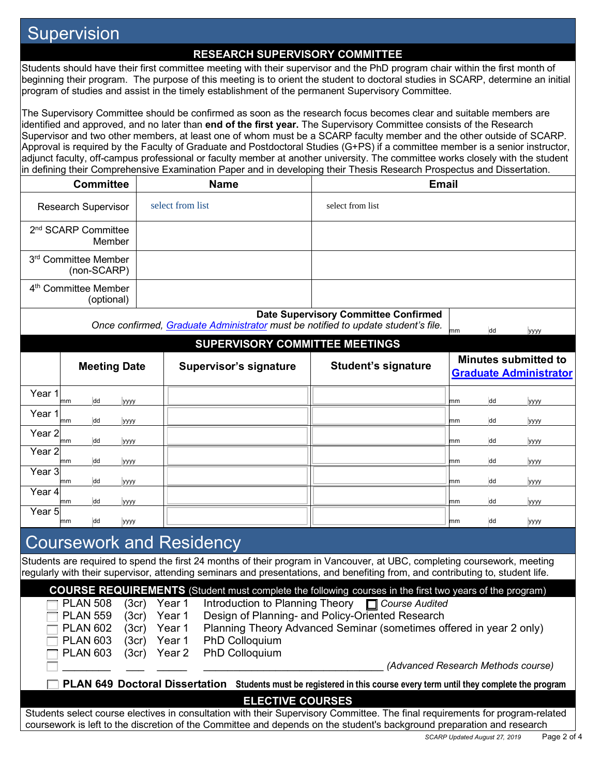## **Supervision**

#### **RESEARCH SUPERVISORY COMMITTEE**

Students should have their first committee meeting with their supervisor and the PhD program chair within the first month of beginning their program. The purpose of this meeting is to orient the student to doctoral studies in SCARP, determine an initial program of studies and assist in the timely establishment of the permanent Supervisory Committee.

The Supervisory Committee should be confirmed as soon as the research focus becomes clear and suitable members are identified and approved, and no later than **end of the first year.** The Supervisory Committee consists of the Research Supervisor and two other members, at least one of whom must be a SCARP faculty member and the other outside of SCARP. Approval is required by the Faculty of Graduate and Postdoctoral Studies (G+PS) if a committee member is a senior instructor, adjunct faculty, off-campus professional or faculty member at another university. The committee works closely with the student in defining their Comprehensive Examination Paper and in developing their Thesis Research Prospectus and Dissertation.

| <b>Committee</b>                               | <b>Name</b>      | <b>Email</b>                                |
|------------------------------------------------|------------------|---------------------------------------------|
| <b>Research Supervisor</b>                     | select from list | select from list                            |
| 2 <sup>nd</sup> SCARP Committee<br>Member      |                  |                                             |
| 3rd Committee Member<br>(non-SCARP)            |                  |                                             |
| 4 <sup>th</sup> Committee Member<br>(optional) |                  |                                             |
|                                                |                  | <b>Date Supervisory Committee Confirmed</b> |

*Once confirmed, <u>Graduate Administrator</u> must be notified to update student's file.*  $\frac{1}{\text{mm}}$  dd yyyy

### **SUPERVISORY COMMITTEE MEETINGS**

|                   |    |    | <b>Meeting Date</b> | <b>Supervisor's signature</b> | <b>Student's signature</b> |    |    | <b>Minutes submitted to</b><br><b>Graduate Administrator</b> |
|-------------------|----|----|---------------------|-------------------------------|----------------------------|----|----|--------------------------------------------------------------|
| Year 1            | mm | dd | уууу                |                               |                            | mm | dd | уууу                                                         |
| Year 1            | mm | dd | уууу                |                               |                            | mm | dd | уууу                                                         |
| Year <sub>2</sub> | mm | dd | уууу                |                               |                            | mm | dd | уууу                                                         |
| Year <sub>2</sub> | mm | dd | уууу                |                               |                            | mm | dd | уууу                                                         |
| Year <sub>3</sub> | mm | dd | уууу                |                               |                            | mm | dd | уууу                                                         |
| Year 4            | mm | dd | уууу                |                               |                            | mm | dd | уууу                                                         |
| Year 5            | mm | dd | <b>VYYY</b>         |                               |                            | mm | dd | <b>VYVY</b>                                                  |

## Coursework and Residency

Students are required to spend the first 24 months of their program in Vancouver, at UBC, completing coursework, meeting regularly with their supervisor, attending seminars and presentations, and benefiting from, and contributing to, student life.

**COURSE REQUIREMENTS** (Student must complete the following courses in the first two years of the program) PLAN 508 (3cr) Year 1 Introduction to Planning Theory **C** Course Audited PLAN 559 (3cr) Year 1 Design of Planning- and Policy-Oriented Research PLAN 602 (3cr) Year 1 Planning Theory Advanced Seminar (sometimes offered in year 2 only) PLAN 603 (3cr) Year 1 PhD Colloquium PLAN 603 (3cr) Year 2 PhD Colloquium \_\_\_\_\_\_\_\_ \_\_\_ \_\_\_\_\_ \_\_\_\_\_\_\_\_\_\_\_\_\_\_\_\_\_\_\_\_\_\_\_\_\_\_\_\_\_\_ *(Advanced Research Methods course)* **PLAN 649 Doctoral Dissertation Students must be registered in this course every term until they complete the program ELECTIVE COURSES** Students select course electives in consultation with their Supervisory Committee. The final requirements for program-related coursework is left to the discretion of the Committee and depends on the student's background preparation and research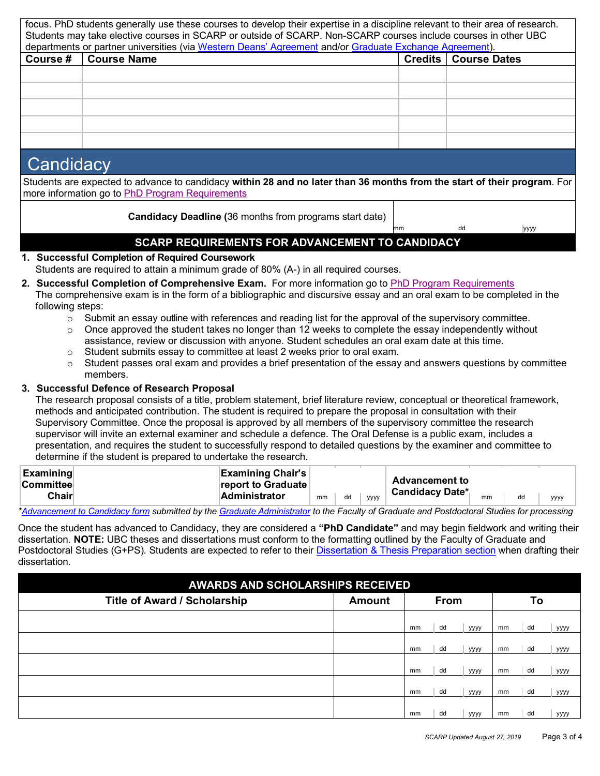| focus. PhD students generally use these courses to develop their expertise in a discipline relevant to their area of research.<br>Students may take elective courses in SCARP or outside of SCARP. Non-SCARP courses include courses in other UBC<br>departments or partner universities (via Western Deans' Agreement and/or Graduate Exchange Agreement). |               |  |                               |  |  |  |  |  |  |  |  |  |
|-------------------------------------------------------------------------------------------------------------------------------------------------------------------------------------------------------------------------------------------------------------------------------------------------------------------------------------------------------------|---------------|--|-------------------------------|--|--|--|--|--|--|--|--|--|
| <b>Course #</b>                                                                                                                                                                                                                                                                                                                                             | l Course Name |  | <b>Credits   Course Dates</b> |  |  |  |  |  |  |  |  |  |
|                                                                                                                                                                                                                                                                                                                                                             |               |  |                               |  |  |  |  |  |  |  |  |  |
|                                                                                                                                                                                                                                                                                                                                                             |               |  |                               |  |  |  |  |  |  |  |  |  |
|                                                                                                                                                                                                                                                                                                                                                             |               |  |                               |  |  |  |  |  |  |  |  |  |
|                                                                                                                                                                                                                                                                                                                                                             |               |  |                               |  |  |  |  |  |  |  |  |  |
|                                                                                                                                                                                                                                                                                                                                                             |               |  |                               |  |  |  |  |  |  |  |  |  |

## **Candidacy**

Students are expected to advance to candidacy **within 28 and no later than 36 months from the start of their program**. For more information go to PhD Program Requirements

**Candidacy Deadline (**36 months from programs start date)

dd yyyy

## **SCARP REQUIREMENTS FOR ADVANCEMENT TO CANDIDACY**

- **1. Successful Completion of Required Coursework** Students are required to attain a minimum grade of 80% (A-) in all required courses.
- **2. Successful Completion of Comprehensive Exam.** For more information go to PhD Program Requirements The comprehensive exam is in the form of a bibliographic and discursive essay and an oral exam to be completed in the following steps:
	- $\circ$  Submit an essay outline with references and reading list for the approval of the supervisory committee.
	- $\circ$  Once approved the student takes no longer than 12 weeks to complete the essay independently without assistance, review or discussion with anyone. Student schedules an oral exam date at this time.
	- $\circ$  Student submits essay to committee at least 2 weeks prior to oral exam.
	- $\circ$  Student passes oral exam and provides a brief presentation of the essay and answers questions by committee members.

### **3. Successful Defence of Research Proposal**

The research proposal consists of a title, problem statement, brief literature review, conceptual or theoretical framework, methods and anticipated contribution. The student is required to prepare the proposal in consultation with their Supervisory Committee. Once the proposal is approved by all members of the supervisory committee the research supervisor will invite an external examiner and schedule a defence. The Oral Defense is a public exam, includes a presentation, and requires the student to successfully respond to detailed questions by the examiner and committee to determine if the student is prepared to undertake the research.

| <b>Examining</b><br><b><u>ICommitteel</u></b> | <b>Examining Chair's</b><br><b>report to Graduate</b> |    |    |      | <b>Advancement to</b>  |    |    |      |
|-----------------------------------------------|-------------------------------------------------------|----|----|------|------------------------|----|----|------|
| <b>Chair</b>                                  | <b>Administrator</b>                                  | mm | dd | уууу | <b>Candidacy Date*</b> | mm | dd | уууу |

*\*Advancement to Candidacy form submitted by the Graduate Administrator to the Faculty of Graduate and Postdoctoral Studies for processing*

Once the student has advanced to Candidacy, they are considered a **"PhD Candidate"** and may begin fieldwork and writing their dissertation. **NOTE:** UBC theses and dissertations must conform to the formatting outlined by the Faculty of Graduate and Postdoctoral Studies (G+PS). Students are expected to refer to their Dissertation & Thesis Preparation section when drafting their dissertation.

| <b>AWARDS AND SCHOLARSHIPS RECEIVED</b> |               |    |             |             |    |    |             |
|-----------------------------------------|---------------|----|-------------|-------------|----|----|-------------|
| <b>Title of Award / Scholarship</b>     | <b>Amount</b> |    | <b>From</b> |             |    | To |             |
|                                         |               | mm | dd          | уууу        | mm | dd | уууу        |
|                                         |               | mm | dd          | уууу        | mm | dd | уууу        |
|                                         |               | mm | dd          | уууу        | mm | dd | уууу        |
|                                         |               | mm | dd          | уууу        | mm | dd | уууу        |
|                                         |               | mm | dd          | <b>YYYY</b> | mm | dd | <b>YYYY</b> |